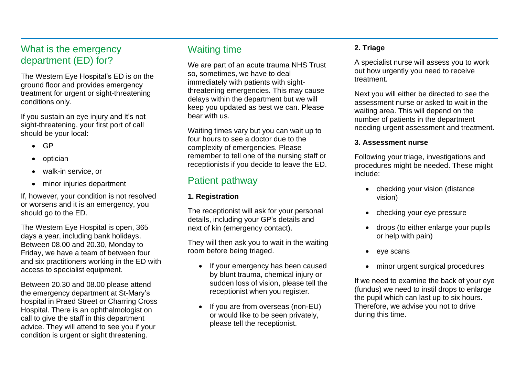## What is the emergency department (ED) for?

The Western Eye Hospital's ED is on the ground floor and provides emergency treatment for urgent or sight-threatening conditions only.

If you sustain an eye injury and it's not sight-threatening, your first port of call should be your local:

- GP
- optician
- walk-in service, or
- minor injuries department

If, however, your condition is not resolved or worsens and it is an emergency, you should go to the ED.

The Western Eye Hospital is open, 365 days a year, including bank holidays. Between 08.00 and 20.30, Monday to Friday, we have a team of between four and six practitioners working in the ED with access to specialist equipment.

Between 20.30 and 08.00 please attend the emergency department at St-Mary's hospital in Praed Street or Charring Cross Hospital. There is an ophthalmologist on call to give the staff in this department advice. They will attend to see you if your condition is urgent or sight threatening.

## Waiting time

We are part of an acute trauma NHS Trust so, sometimes, we have to deal immediately with patients with sightthreatening emergencies. This may cause delays within the department but we will keep you updated as best we can. Please bear with us.

Waiting times vary but you can wait up to four hours to see a doctor due to the complexity of emergencies. Please remember to tell one of the nursing staff or receptionists if you decide to leave the ED.

## Patient pathway

#### **1. Registration**

The receptionist will ask for your personal details, including your GP's details and next of kin (emergency contact).

They will then ask you to wait in the waiting room before being triaged.

- If your emergency has been caused by blunt trauma, chemical injury or sudden loss of vision, please tell the receptionist when you register.
- If you are from overseas (non-EU) or would like to be seen privately, please tell the receptionist.

### **2. Triage**

A specialist nurse will assess you to work out how urgently you need to receive treatment.

Next you will either be directed to see the assessment nurse or asked to wait in the waiting area. This will depend on the number of patients in the department needing urgent assessment and treatment.

#### **3. Assessment nurse**

Following your triage, investigations and procedures might be needed. These might include:

- checking your vision (distance vision)
- checking your eye pressure
- drops (to either enlarge your pupils or help with pain)
- eye scans
- minor urgent surgical procedures

If we need to examine the back of your eye (fundus) we need to instil drops to enlarge the pupil which can last up to six hours. Therefore, we advise you not to drive during this time.